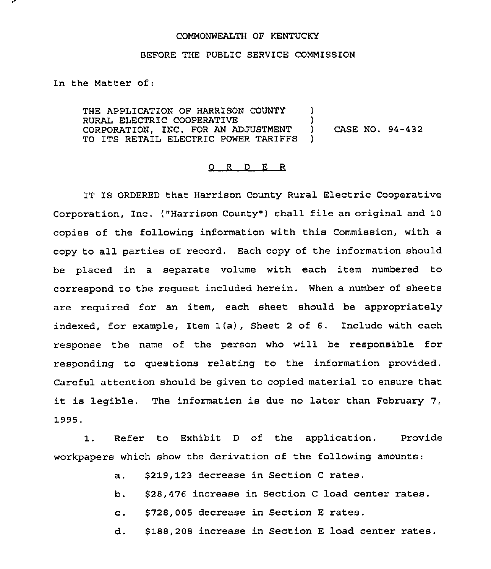## COMMONWEALTH OF KENTUCKY

## BEFORE THE PUBLIC SERVICE COMMISSION

In the Matter of:

THE APPLICATION OF HARRISON COUNTY RURAL ELECTRIC COOPERATIVE CORPORATION, INC. FOR AN ADJUSTMENT TO ITS RETAIL ELECTR1C POWER TARIFFS )  $\lambda$ ) CASE NO. 94-432  $\lambda$ 

## ORDER

IT IS ORDERED that Harrison County Rural Electric Cooperative Corporation, Inc. ("Harrison County" ) shall file an original and 10 copies of the following information with this Commission, with a copy to all parties of record. Each copy of the information should be placed in a separate volume with each item numbered to correspond to the request included herein. When a number of sheets are required for an item, each sheet should be appropriately indexed, for example, Item 1(a), Sheet <sup>2</sup> of 6. Include with each response the name of the person who will be responsible for responding to questions relating to the information provided. Careful attention should be given to copied material to ensure that it is legible. The information is due no later than February 7, 1995.

1. Refer to Exhibit <sup>D</sup> of the application. Provide workpapers which show the derivation of the following amounts:

- a. \$219, 123 decrease in Section <sup>C</sup> rates.
- b. 528,476 increase in Section <sup>C</sup> load center rates.
- c. \$728,005 decrease in Section <sup>E</sup> rates.
- d. \$188,208 increase in Section <sup>E</sup> load center rates.